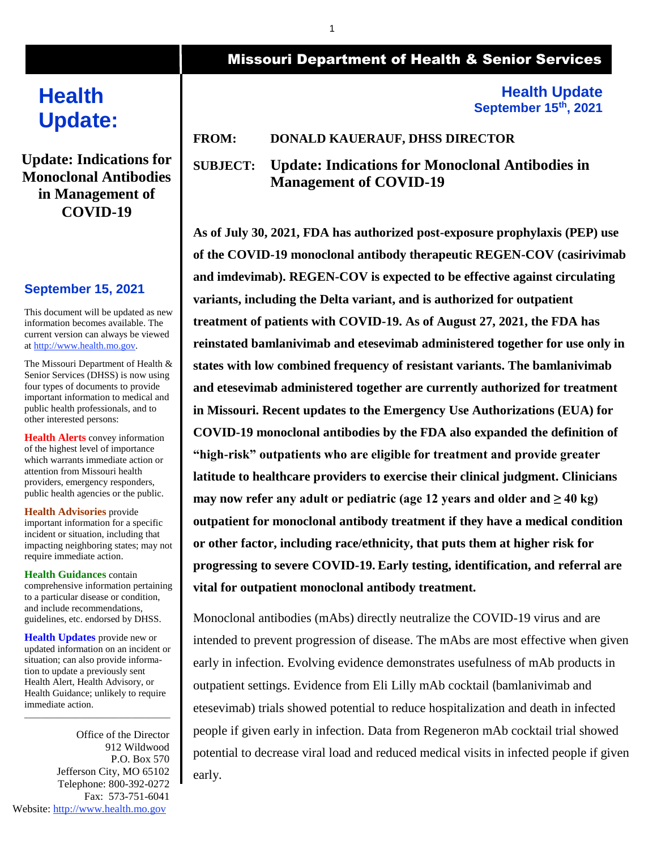# **Health Update:**

**Update: Indications for Monoclonal Antibodies in Management of COVID-19**

# **September 15, 2021**

This document will be updated as new information becomes available. The current version can always be viewed a[t http://www.health.mo.gov.](http://www.health.mo.gov/)

The Missouri Department of Health & Senior Services (DHSS) is now using four types of documents to provide important information to medical and public health professionals, and to other interested persons:

**Health Alerts** convey information of the highest level of importance which warrants immediate action or attention from Missouri health providers, emergency responders, public health agencies or the public.

**Health Advisories** provide important information for a specific incident or situation, including that impacting neighboring states; may not require immediate action.

**Health Guidances** contain comprehensive information pertaining to a particular disease or condition, and include recommendations, guidelines, etc. endorsed by DHSS.

**Health Updates** provide new or updated information on an incident or situation; can also provide information to update a previously sent Health Alert, Health Advisory, or Health Guidance; unlikely to require immediate action.

\_\_\_\_\_\_\_\_\_\_\_\_\_\_\_\_\_\_\_\_\_\_\_\_\_\_\_\_\_\_\_\_\_\_

Office of the Director 912 Wildwood P.O. Box 570 Jefferson City, MO 65102 Telephone: 800-392-0272 Fax: 573-751-6041 Website[: http://www.health.mo.gov](http://www.health.mo.gov/)

# Missouri Department of Health & Senior Services

# **Health Update September 15th, 2021**

**FROM: DONALD KAUERAUF, DHSS DIRECTOR**

**SUBJECT: Update: Indications for Monoclonal Antibodies in Management of COVID-19**

**As of July 30, 2021, FDA has authorized post-exposure prophylaxis (PEP) use of the COVID-19 monoclonal antibody therapeutic REGEN-COV (casirivimab and imdevimab). REGEN-COV is expected to be effective against circulating variants, including the Delta variant, and is authorized for outpatient treatment of patients with COVID-19. As of August 27, 2021, the FDA has reinstated bamlanivimab and etesevimab administered together for use only in states with low combined frequency of resistant variants. The bamlanivimab and etesevimab administered together are currently authorized for treatment in Missouri. Recent updates to the Emergency Use Authorizations (EUA) for COVID-19 monoclonal antibodies by the FDA also expanded the definition of "high-risk" outpatients who are eligible for treatment and provide greater latitude to healthcare providers to exercise their clinical judgment. Clinicians may now refer any adult or pediatric (age 12 years and older and**  $\geq 40 \text{ kg}$ **) outpatient for monoclonal antibody treatment if they have a medical condition or other factor, including race/ethnicity, that puts them at higher risk for progressing to severe COVID-19. Early testing, identification, and referral are vital for outpatient monoclonal antibody treatment.** 

Monoclonal antibodies (mAbs) directly neutralize the COVID-19 virus and are intended to prevent progression of disease. The mAbs are most effective when given early in infection. Evolving evidence demonstrates usefulness of mAb products in outpatient settings. Evidence from Eli Lilly mAb cocktail (bamlanivimab and etesevimab) trials showed potential to reduce hospitalization and death in infected people if given early in infection. Data from Regeneron mAb cocktail trial showed potential to decrease viral load and reduced medical visits in infected people if given early.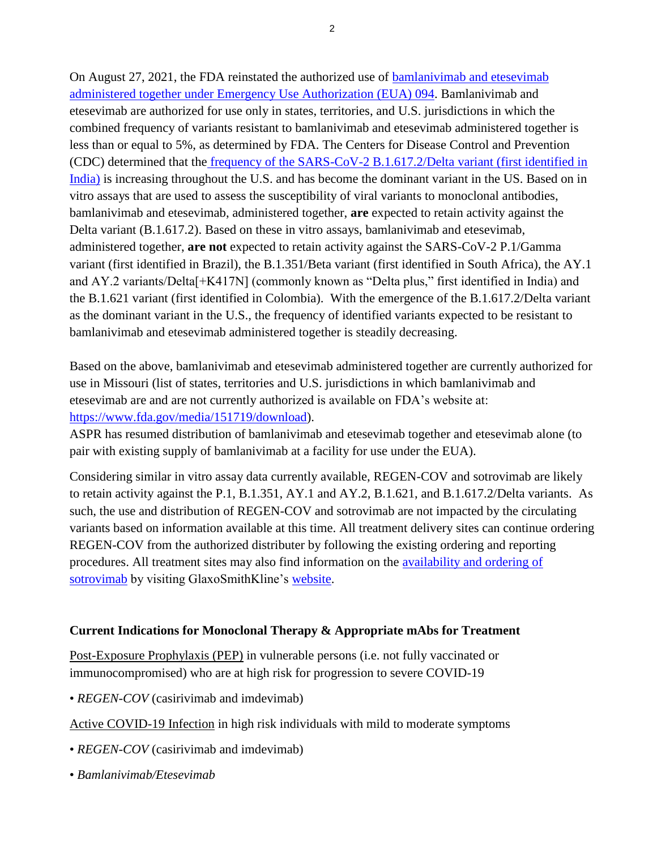On August 27, 2021, the FDA reinstated the authorized use of [bamlanivimab and etesevimab](https://urldefense.com/v3/__https:/www.fda.gov/media/145801/download__;!!EErPFA7f--AJOw!WS3EWq6eIYb4ugheWiTbqKsIwrXyut-FB0Ab33cFNJQFpr08_0j096GRF2CE6a9JXNxBqU75hg$)  [administered together under Emergency Use Authorization \(EUA\) 094.](https://urldefense.com/v3/__https:/www.fda.gov/media/145801/download__;!!EErPFA7f--AJOw!WS3EWq6eIYb4ugheWiTbqKsIwrXyut-FB0Ab33cFNJQFpr08_0j096GRF2CE6a9JXNxBqU75hg$) Bamlanivimab and etesevimab are authorized for use only in states, territories, and U.S. jurisdictions in which the combined frequency of variants resistant to bamlanivimab and etesevimab administered together is less than or equal to 5%, as determined by FDA. The Centers for Disease Control and Prevention (CDC) determined that the [frequency of the SARS-CoV-2 B.1.617.2/Delta variant \(first identified in](https://urldefense.com/v3/__https:/www.cdc.gov/coronavirus/2019-ncov/cases-updates/variant-proportions.html__;!!EErPFA7f--AJOw!WS3EWq6eIYb4ugheWiTbqKsIwrXyut-FB0Ab33cFNJQFpr08_0j096GRF2CE6a9JXNw1RfW43g$)  [India\)](https://urldefense.com/v3/__https:/www.cdc.gov/coronavirus/2019-ncov/cases-updates/variant-proportions.html__;!!EErPFA7f--AJOw!WS3EWq6eIYb4ugheWiTbqKsIwrXyut-FB0Ab33cFNJQFpr08_0j096GRF2CE6a9JXNw1RfW43g$) is increasing throughout the U.S. and has become the dominant variant in the US. Based on in vitro assays that are used to assess the susceptibility of viral variants to monoclonal antibodies, bamlanivimab and etesevimab, administered together, **are** expected to retain activity against the Delta variant (B.1.617.2). Based on these in vitro assays, bamlanivimab and etesevimab, administered together, **are not** expected to retain activity against the SARS-CoV-2 P.1/Gamma variant (first identified in Brazil), the B.1.351/Beta variant (first identified in South Africa), the AY.1 and AY.2 variants/Delta[+K417N] (commonly known as "Delta plus," first identified in India) and the B.1.621 variant (first identified in Colombia). With the emergence of the B.1.617.2/Delta variant as the dominant variant in the U.S., the frequency of identified variants expected to be resistant to bamlanivimab and etesevimab administered together is steadily decreasing.

Based on the above, bamlanivimab and etesevimab administered together are currently authorized for use in Missouri (list of states, territories and U.S. jurisdictions in which bamlanivimab and etesevimab are and are not currently authorized is available on FDA's website at: [https://www.fda.gov/media/151719/download\)](https://www.fda.gov/media/151719/download).

ASPR has resumed distribution of bamlanivimab and etesevimab together and etesevimab alone (to pair with existing supply of bamlanivimab at a facility for use under the EUA).

Considering similar in vitro assay data currently available, REGEN-COV and sotrovimab are likely to retain activity against the P.1, B.1.351, AY.1 and AY.2, B.1.621, and B.1.617.2/Delta variants. As such, the use and distribution of REGEN-COV and sotrovimab are not impacted by the circulating variants based on information available at this time. All treatment delivery sites can continue ordering REGEN-COV from the authorized distributer by following the existing ordering and reporting procedures. All treatment sites may also find information on the [availability and ordering of](https://urldefense.com/v3/__http:/www.sotrovimab.com/__;!!EErPFA7f--AJOw!WS3EWq6eIYb4ugheWiTbqKsIwrXyut-FB0Ab33cFNJQFpr08_0j096GRF2CE6a9JXNzpcZEOHA$)  [sotrovimab](https://urldefense.com/v3/__http:/www.sotrovimab.com/__;!!EErPFA7f--AJOw!WS3EWq6eIYb4ugheWiTbqKsIwrXyut-FB0Ab33cFNJQFpr08_0j096GRF2CE6a9JXNzpcZEOHA$) by visiting GlaxoSmithKline's [website.](https://urldefense.com/v3/__http:/www.sotrovimab.com/__;!!EErPFA7f--AJOw!WS3EWq6eIYb4ugheWiTbqKsIwrXyut-FB0Ab33cFNJQFpr08_0j096GRF2CE6a9JXNzpcZEOHA$)

# **Current Indications for Monoclonal Therapy & Appropriate mAbs for Treatment**

Post-Exposure Prophylaxis (PEP) in vulnerable persons (i.e. not fully vaccinated or immunocompromised) who are at high risk for progression to severe COVID-19

• *REGEN-COV* (casirivimab and imdevimab)

Active COVID-19 Infection in high risk individuals with mild to moderate symptoms

- *REGEN-COV* (casirivimab and imdevimab)
- *Bamlanivimab/Etesevimab*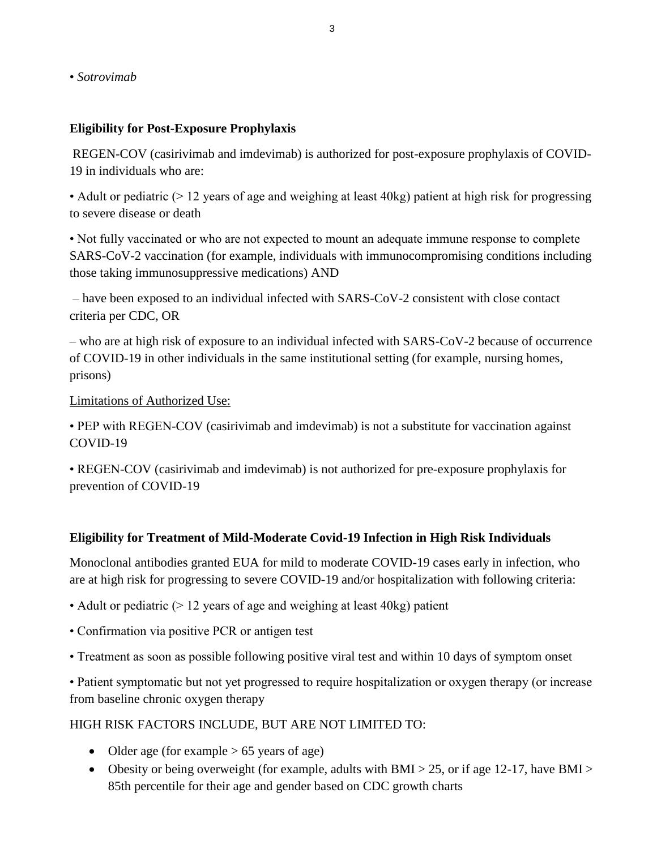• *Sotrovimab*

# **Eligibility for Post-Exposure Prophylaxis**

REGEN-COV (casirivimab and imdevimab) is authorized for post-exposure prophylaxis of COVID-19 in individuals who are:

• Adult or pediatric ( $> 12$  years of age and weighing at least 40kg) patient at high risk for progressing to severe disease or death

• Not fully vaccinated or who are not expected to mount an adequate immune response to complete SARS-CoV-2 vaccination (for example, individuals with immunocompromising conditions including those taking immunosuppressive medications) AND

– have been exposed to an individual infected with SARS-CoV-2 consistent with close contact criteria per CDC, OR

– who are at high risk of exposure to an individual infected with SARS-CoV-2 because of occurrence of COVID-19 in other individuals in the same institutional setting (for example, nursing homes, prisons)

#### Limitations of Authorized Use:

• PEP with REGEN-COV (casirivimab and imdevimab) is not a substitute for vaccination against COVID-19

• REGEN-COV (casirivimab and imdevimab) is not authorized for pre-exposure prophylaxis for prevention of COVID-19

# **Eligibility for Treatment of Mild-Moderate Covid-19 Infection in High Risk Individuals**

Monoclonal antibodies granted EUA for mild to moderate COVID-19 cases early in infection, who are at high risk for progressing to severe COVID-19 and/or hospitalization with following criteria:

- Adult or pediatric (> 12 years of age and weighing at least 40kg) patient
- Confirmation via positive PCR or antigen test
- Treatment as soon as possible following positive viral test and within 10 days of symptom onset

• Patient symptomatic but not yet progressed to require hospitalization or oxygen therapy (or increase from baseline chronic oxygen therapy

# HIGH RISK FACTORS INCLUDE, BUT ARE NOT LIMITED TO:

- Older age (for example  $> 65$  years of age)
- Obesity or being overweight (for example, adults with BMI > 25, or if age 12-17, have BMI > 85th percentile for their age and gender based on CDC growth charts